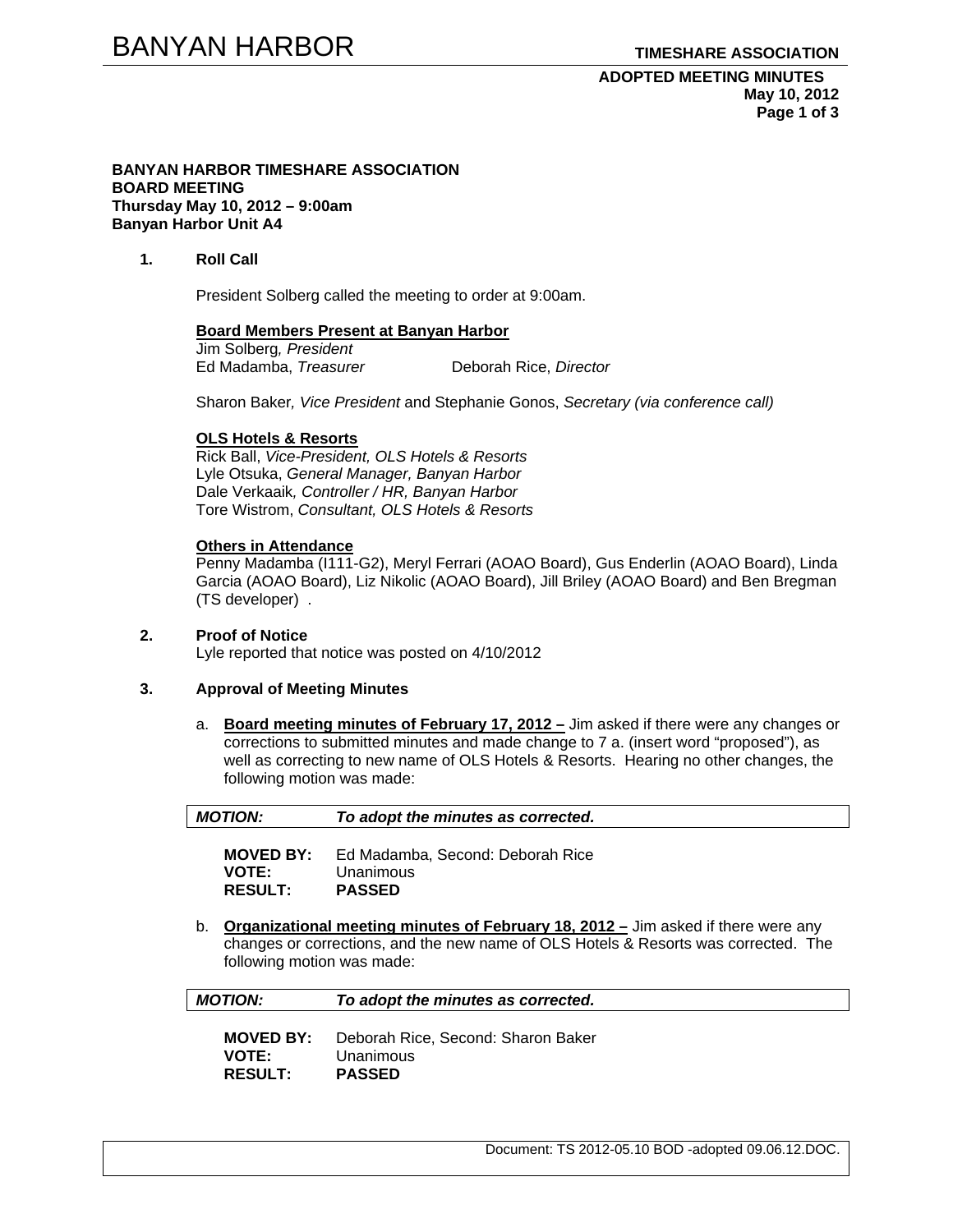#### **BANYAN HARBOR TIMESHARE ASSOCIATION BOARD MEETING Thursday May 10, 2012 – 9:00am Banyan Harbor Unit A4**

### **1. Roll Call**

President Solberg called the meeting to order at 9:00am.

#### **Board Members Present at Banyan Harbor**

Jim Solberg*, President* Ed Madamba, *Treasurer* Deborah Rice, *Director* 

Sharon Baker*, Vice President* and Stephanie Gonos, *Secretary (via conference call)* 

#### **OLS Hotels & Resorts**

Rick Ball, *Vice-President, OLS Hotels & Resorts* Lyle Otsuka, *General Manager, Banyan Harbor*  Dale Verkaaik*, Controller / HR, Banyan Harbor*  Tore Wistrom, *Consultant, OLS Hotels & Resorts* 

#### **Others in Attendance**

Penny Madamba (I111-G2), Meryl Ferrari (AOAO Board), Gus Enderlin (AOAO Board), Linda Garcia (AOAO Board), Liz Nikolic (AOAO Board), Jill Briley (AOAO Board) and Ben Bregman (TS developer) .

# **2. Proof of Notice**

Lyle reported that notice was posted on 4/10/2012

### **3. Approval of Meeting Minutes**

a. **Board meeting minutes of February 17, 2012 –** Jim asked if there were any changes or corrections to submitted minutes and made change to 7 a. (insert word "proposed"), as well as correcting to new name of OLS Hotels & Resorts. Hearing no other changes, the following motion was made:

| <b>MOTION:</b>                                                                                                                                                                                               |                                                    | To adopt the minutes as corrected.                             |
|--------------------------------------------------------------------------------------------------------------------------------------------------------------------------------------------------------------|----------------------------------------------------|----------------------------------------------------------------|
|                                                                                                                                                                                                              | <b>MOVED BY:</b><br><b>VOTE:</b><br><b>RESULT:</b> | Ed Madamba, Second: Deborah Rice<br>Unanimous<br><b>PASSED</b> |
| Organizational meeting minutes of February 18, 2012 - Jim asked if there were any<br>b.<br>changes or corrections, and the new name of OLS Hotels & Resorts was corrected. The<br>following motion was made: |                                                    |                                                                |
| <b>MOTION:</b>                                                                                                                                                                                               |                                                    | To adopt the minutes as corrected.                             |

| <b>MOVED BY:</b> | Deborah Rice, Second: Sharon Baker |
|------------------|------------------------------------|
| <b>VOTE:</b>     | Unanimous                          |
| <b>RESULT:</b>   | <b>PASSED</b>                      |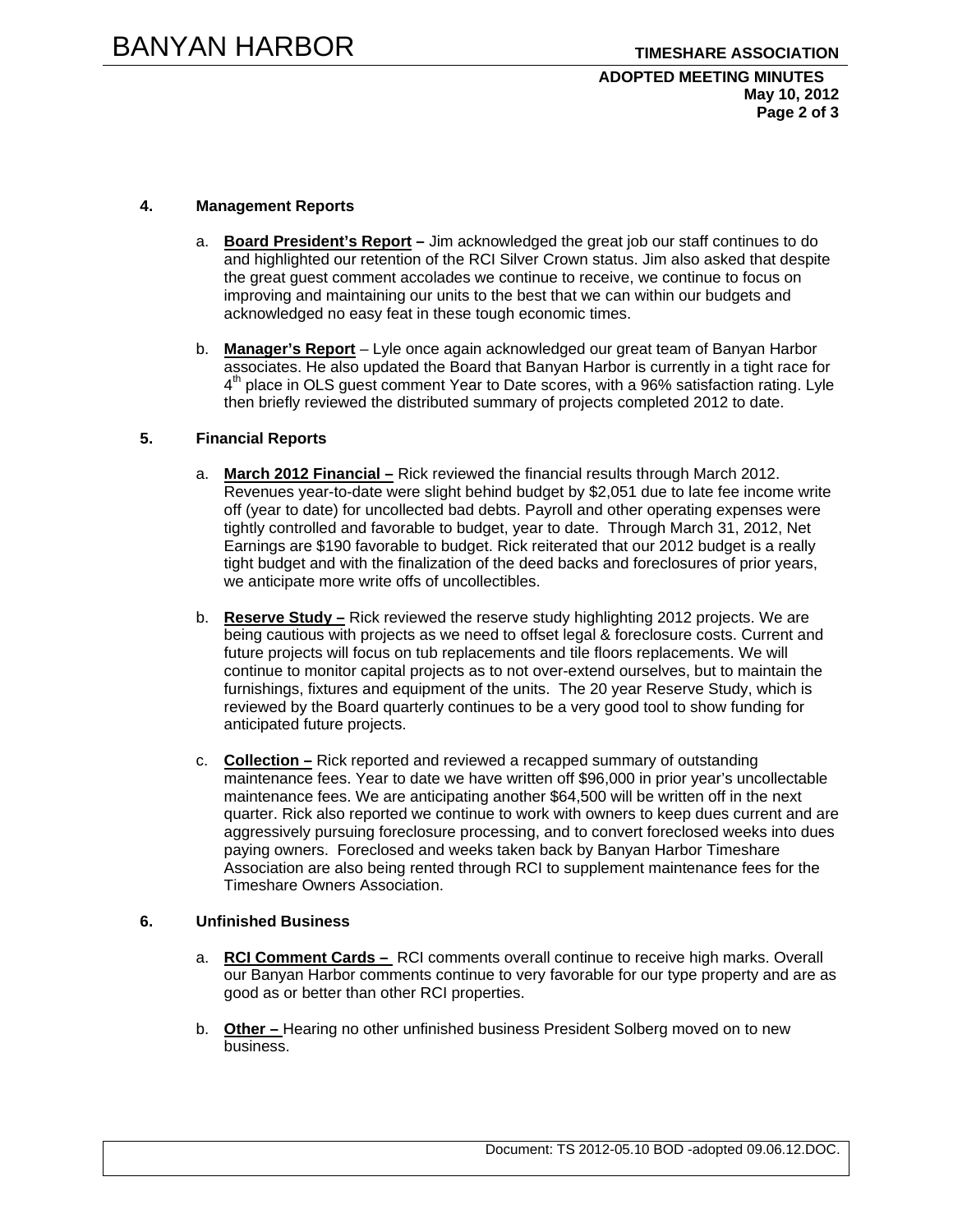# **ADOPTED MEETING MINUTES May 10, 2012 Page 2 of 3**

# **4. Management Reports**

- a. **Board President's Report** Jim acknowledged the great job our staff continues to do and highlighted our retention of the RCI Silver Crown status. Jim also asked that despite the great guest comment accolades we continue to receive, we continue to focus on improving and maintaining our units to the best that we can within our budgets and acknowledged no easy feat in these tough economic times.
- b. **Manager's Report** Lyle once again acknowledged our great team of Banyan Harbor associates. He also updated the Board that Banyan Harbor is currently in a tight race for  $4<sup>th</sup>$  place in OLS guest comment Year to Date scores, with a 96% satisfaction rating. Lyle then briefly reviewed the distributed summary of projects completed 2012 to date.

### **5. Financial Reports**

- a. **March 2012 Financial –** Rick reviewed the financial results through March 2012. Revenues year-to-date were slight behind budget by \$2,051 due to late fee income write off (year to date) for uncollected bad debts. Payroll and other operating expenses were tightly controlled and favorable to budget, year to date. Through March 31, 2012, Net Earnings are \$190 favorable to budget. Rick reiterated that our 2012 budget is a really tight budget and with the finalization of the deed backs and foreclosures of prior years, we anticipate more write offs of uncollectibles.
- b. **Reserve Study –** Rick reviewed the reserve study highlighting 2012 projects. We are being cautious with projects as we need to offset legal & foreclosure costs. Current and future projects will focus on tub replacements and tile floors replacements. We will continue to monitor capital projects as to not over-extend ourselves, but to maintain the furnishings, fixtures and equipment of the units. The 20 year Reserve Study, which is reviewed by the Board quarterly continues to be a very good tool to show funding for anticipated future projects.
- c. **Collection –** Rick reported and reviewed a recapped summary of outstanding maintenance fees. Year to date we have written off \$96,000 in prior year's uncollectable maintenance fees. We are anticipating another \$64,500 will be written off in the next quarter. Rick also reported we continue to work with owners to keep dues current and are aggressively pursuing foreclosure processing, and to convert foreclosed weeks into dues paying owners. Foreclosed and weeks taken back by Banyan Harbor Timeshare Association are also being rented through RCI to supplement maintenance fees for the Timeshare Owners Association.

# **6. Unfinished Business**

- a. **RCI Comment Cards** RCI comments overall continue to receive high marks. Overall our Banyan Harbor comments continue to very favorable for our type property and are as good as or better than other RCI properties.
- b. **Other** Hearing no other unfinished business President Solberg moved on to new business.